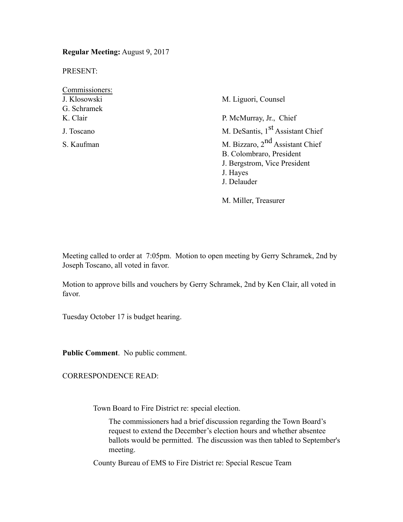**Regular Meeting:** August 9, 2017

PRESENT:

Commissioners: J. Klosowski M. Liguori, Counsel G. Schramek K. Clair P. McMurray, Jr., Chief

J. Toscano M. DeSantis, 1<sup>st</sup> Assistant Chief S. Kaufman M. Bizzaro, 2<sup>nd</sup> Assistant Chief B. Colombraro, President J. Bergstrom, Vice President J. Hayes J. Delauder

M. Miller, Treasurer

Meeting called to order at 7:05pm. Motion to open meeting by Gerry Schramek, 2nd by Joseph Toscano, all voted in favor.

Motion to approve bills and vouchers by Gerry Schramek, 2nd by Ken Clair, all voted in favor.

Tuesday October 17 is budget hearing.

**Public Comment**. No public comment.

CORRESPONDENCE READ:

Town Board to Fire District re: special election.

The commissioners had a brief discussion regarding the Town Board's request to extend the December's election hours and whether absentee ballots would be permitted. The discussion was then tabled to September's meeting.

County Bureau of EMS to Fire District re: Special Rescue Team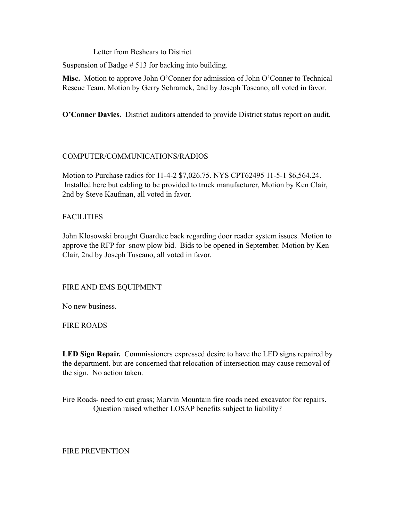Letter from Beshears to District

Suspension of Badge # 513 for backing into building.

**Misc.** Motion to approve John O'Conner for admission of John O'Conner to Technical Rescue Team. Motion by Gerry Schramek, 2nd by Joseph Toscano, all voted in favor.

**O'Conner Davies.** District auditors attended to provide District status report on audit.

# COMPUTER/COMMUNICATIONS/RADIOS

Motion to Purchase radios for 11-4-2 \$7,026.75. NYS CPT62495 11-5-1 \$6,564.24. Installed here but cabling to be provided to truck manufacturer, Motion by Ken Clair, 2nd by Steve Kaufman, all voted in favor.

# FACILITIES

John Klosowski brought Guardtec back regarding door reader system issues. Motion to approve the RFP for snow plow bid. Bids to be opened in September. Motion by Ken Clair, 2nd by Joseph Tuscano, all voted in favor.

## FIRE AND EMS EQUIPMENT

No new business.

FIRE ROADS

**LED Sign Repair.** Commissioners expressed desire to have the LED signs repaired by the department. but are concerned that relocation of intersection may cause removal of the sign. No action taken.

Fire Roads- need to cut grass; Marvin Mountain fire roads need excavator for repairs. Question raised whether LOSAP benefits subject to liability?

## FIRE PREVENTION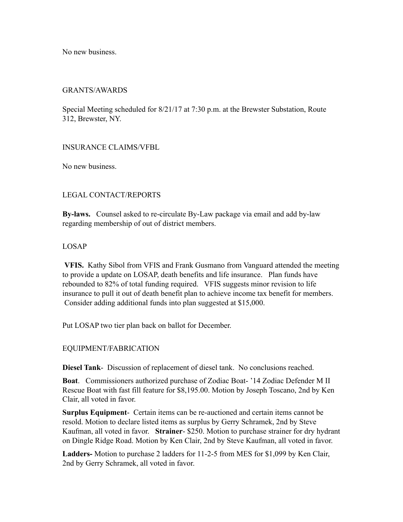No new business.

## GRANTS/AWARDS

Special Meeting scheduled for 8/21/17 at 7:30 p.m. at the Brewster Substation, Route 312, Brewster, NY.

## INSURANCE CLAIMS/VFBL

No new business.

# LEGAL CONTACT/REPORTS

**By-laws.** Counsel asked to re-circulate By-Law package via email and add by-law regarding membership of out of district members.

## LOSAP

**VFIS.** Kathy Sibol from VFIS and Frank Gusmano from Vanguard attended the meeting to provide a update on LOSAP, death benefits and life insurance. Plan funds have rebounded to 82% of total funding required. VFIS suggests minor revision to life insurance to pull it out of death benefit plan to achieve income tax benefit for members. Consider adding additional funds into plan suggested at \$15,000.

Put LOSAP two tier plan back on ballot for December.

# EQUIPMENT/FABRICATION

**Diesel Tank**- Discussion of replacement of diesel tank. No conclusions reached.

**Boat**. Commissioners authorized purchase of Zodiac Boat- '14 Zodiac Defender M II Rescue Boat with fast fill feature for \$8,195.00. Motion by Joseph Toscano, 2nd by Ken Clair, all voted in favor.

**Surplus Equipment**- Certain items can be re-auctioned and certain items cannot be resold. Motion to declare listed items as surplus by Gerry Schramek, 2nd by Steve Kaufman, all voted in favor. **Strainer**- \$250. Motion to purchase strainer for dry hydrant on Dingle Ridge Road. Motion by Ken Clair, 2nd by Steve Kaufman, all voted in favor.

**Ladders-** Motion to purchase 2 ladders for 11-2-5 from MES for \$1,099 by Ken Clair, 2nd by Gerry Schramek, all voted in favor.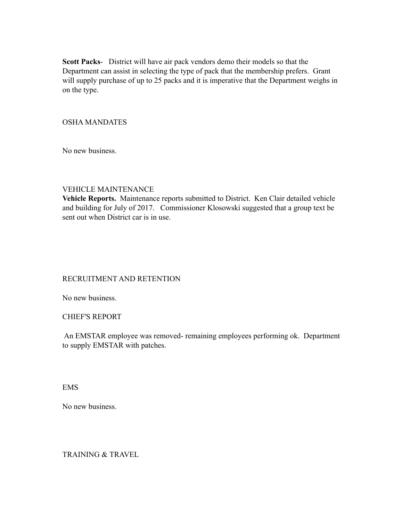**Scott Packs**- District will have air pack vendors demo their models so that the Department can assist in selecting the type of pack that the membership prefers. Grant will supply purchase of up to 25 packs and it is imperative that the Department weighs in on the type.

# OSHA MANDATES

No new business.

## VEHICLE MAINTENANCE

**Vehicle Reports.** Maintenance reports submitted to District. Ken Clair detailed vehicle and building for July of 2017. Commissioner Klosowski suggested that a group text be sent out when District car is in use.

## RECRUITMENT AND RETENTION

No new business.

## CHIEF'S REPORT

 An EMSTAR employee was removed- remaining employees performing ok. Department to supply EMSTAR with patches.

EMS

No new business.

TRAINING & TRAVEL